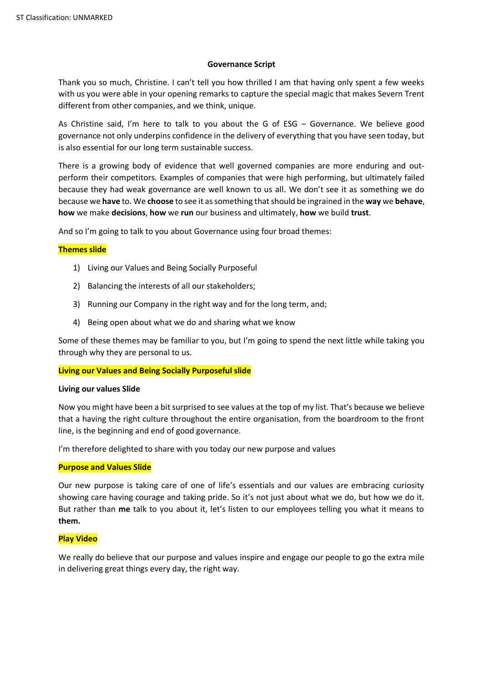# **Governance Script**

Thank you so much, Christine. I can't tell you how thrilled I am that having only spent a few weeks with us you were able in your opening remarks to capture the special magic that makes Severn Trent different from other companies, and we think, unique.

As Christine said, I'm here to talk to you about the G of ESG – Governance. We believe good governance not only underpins confidence in the delivery of everything that you have seen today, but is also essential for our long term sustainable success.

There is a growing body of evidence that well governed companies are more enduring and outperform their competitors. Examples of companies that were high performing, but ultimately failed because they had weak governance are well known to us all. We don't see it as something we do because we **have** to. We **choose** to see it as something that should be ingrained in the **way** we **behave**, **how** we make **decisions**, **how** we **run** our business and ultimately, **how** we build **trust**.

And so I'm going to talk to you about Governance using four broad themes:

# **Themes slide**

- 1) Living our Values and Being Socially Purposeful
- 2) Balancing the interests of all our stakeholders;
- 3) Running our Company in the right way and for the long term, and;
- 4) Being open about what we do and sharing what we know

Some of these themes may be familiar to you, but I'm going to spend the next little while taking you through why they are personal to us.

#### **Living our Values and Being Socially Purposeful slide**

#### **Living our values Slide**

Now you might have been a bit surprised to see values at the top of my list. That's because we believe that a having the right culture throughout the entire organisation, from the boardroom to the front line, is the beginning and end of good governance.

I'm therefore delighted to share with you today our new purpose and values

#### **Purpose and Values Slide**

Our new purpose is taking care of one of life's essentials and our values are embracing curiosity showing care having courage and taking pride. So it's not just about what we do, but how we do it. But rather than **me** talk to you about it, let's listen to our employees telling you what it means to **them.**

#### **Play Video**

We really do believe that our purpose and values inspire and engage our people to go the extra mile in delivering great things every day, the right way.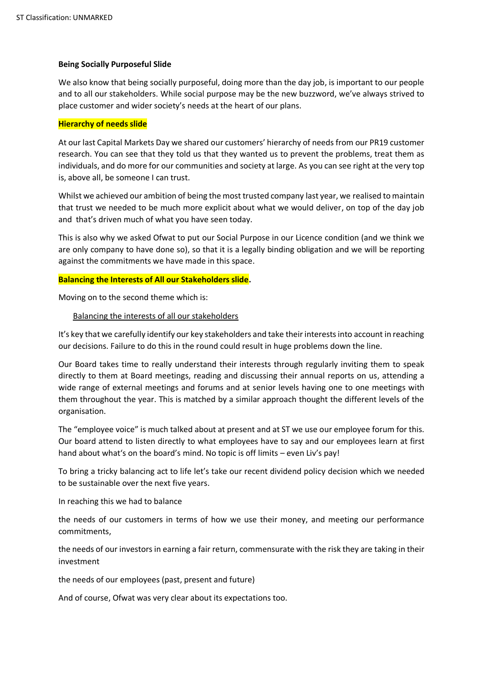# **Being Socially Purposeful Slide**

We also know that being socially purposeful, doing more than the day job, is important to our people and to all our stakeholders. While social purpose may be the new buzzword, we've always strived to place customer and wider society's needs at the heart of our plans.

# **Hierarchy of needs slide**

At our last Capital Markets Day we shared our customers' hierarchy of needs from our PR19 customer research. You can see that they told us that they wanted us to prevent the problems, treat them as individuals, and do more for our communities and society at large. As you can see right at the very top is, above all, be someone I can trust.

Whilst we achieved our ambition of being the most trusted company last year, we realised to maintain that trust we needed to be much more explicit about what we would deliver, on top of the day job and that's driven much of what you have seen today.

This is also why we asked Ofwat to put our Social Purpose in our Licence condition (and we think we are only company to have done so), so that it is a legally binding obligation and we will be reporting against the commitments we have made in this space.

### **Balancing the Interests of All our Stakeholders slide.**

Moving on to the second theme which is:

### Balancing the interests of all our stakeholders

It's key that we carefully identify our key stakeholders and take their interests into account in reaching our decisions. Failure to do this in the round could result in huge problems down the line.

Our Board takes time to really understand their interests through regularly inviting them to speak directly to them at Board meetings, reading and discussing their annual reports on us, attending a wide range of external meetings and forums and at senior levels having one to one meetings with them throughout the year. This is matched by a similar approach thought the different levels of the organisation.

The "employee voice" is much talked about at present and at ST we use our employee forum for this. Our board attend to listen directly to what employees have to say and our employees learn at first hand about what's on the board's mind. No topic is off limits – even Liv's pay!

To bring a tricky balancing act to life let's take our recent dividend policy decision which we needed to be sustainable over the next five years.

In reaching this we had to balance

the needs of our customers in terms of how we use their money, and meeting our performance commitments,

the needs of our investors in earning a fair return, commensurate with the risk they are taking in their investment

the needs of our employees (past, present and future)

And of course, Ofwat was very clear about its expectations too.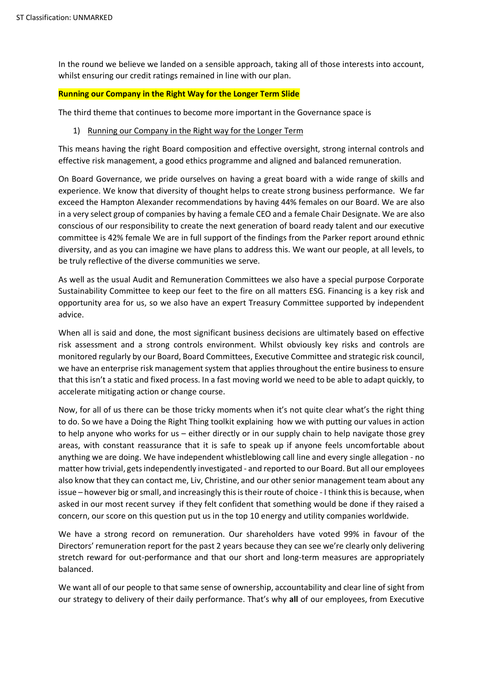In the round we believe we landed on a sensible approach, taking all of those interests into account, whilst ensuring our credit ratings remained in line with our plan.

## **Running our Company in the Right Way for the Longer Term Slide**

The third theme that continues to become more important in the Governance space is

1) Running our Company in the Right way for the Longer Term

This means having the right Board composition and effective oversight, strong internal controls and effective risk management, a good ethics programme and aligned and balanced remuneration.

On Board Governance, we pride ourselves on having a great board with a wide range of skills and experience. We know that diversity of thought helps to create strong business performance. We far exceed the Hampton Alexander recommendations by having 44% females on our Board. We are also in a very select group of companies by having a female CEO and a female Chair Designate. We are also conscious of our responsibility to create the next generation of board ready talent and our executive committee is 42% female We are in full support of the findings from the Parker report around ethnic diversity, and as you can imagine we have plans to address this. We want our people, at all levels, to be truly reflective of the diverse communities we serve.

As well as the usual Audit and Remuneration Committees we also have a special purpose Corporate Sustainability Committee to keep our feet to the fire on all matters ESG. Financing is a key risk and opportunity area for us, so we also have an expert Treasury Committee supported by independent advice.

When all is said and done, the most significant business decisions are ultimately based on effective risk assessment and a strong controls environment. Whilst obviously key risks and controls are monitored regularly by our Board, Board Committees, Executive Committee and strategic risk council, we have an enterprise risk management system that applies throughout the entire business to ensure that this isn't a static and fixed process. In a fast moving world we need to be able to adapt quickly, to accelerate mitigating action or change course.

Now, for all of us there can be those tricky moments when it's not quite clear what's the right thing to do. So we have a Doing the Right Thing toolkit explaining how we with putting our values in action to help anyone who works for us – either directly or in our supply chain to help navigate those grey areas, with constant reassurance that it is safe to speak up if anyone feels uncomfortable about anything we are doing. We have independent whistleblowing call line and every single allegation - no matter how trivial, gets independently investigated - and reported to our Board. But all our employees also know that they can contact me, Liv, Christine, and our other senior management team about any issue – however big or small, and increasingly this is their route of choice - I think this is because, when asked in our most recent survey if they felt confident that something would be done if they raised a concern, our score on this question put us in the top 10 energy and utility companies worldwide.

We have a strong record on remuneration. Our shareholders have voted 99% in favour of the Directors' remuneration report for the past 2 years because they can see we're clearly only delivering stretch reward for out-performance and that our short and long-term measures are appropriately balanced.

We want all of our people to that same sense of ownership, accountability and clear line of sight from our strategy to delivery of their daily performance. That's why **all** of our employees, from Executive